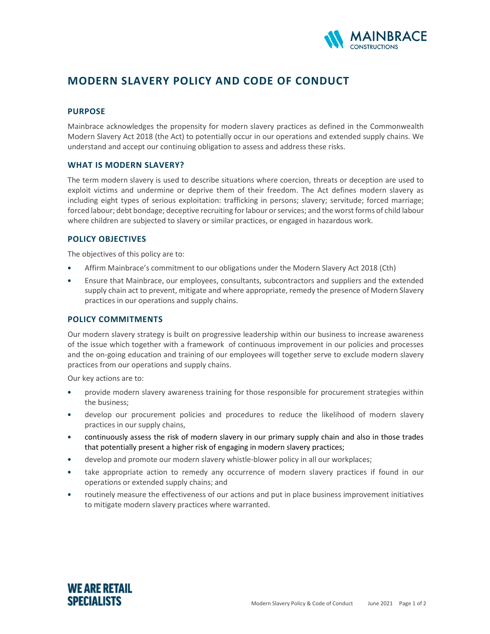

# MODERN SLAVERY POLICY AND CODE OF CONDUCT

#### **PURPOSE**

Mainbrace acknowledges the propensity for modern slavery practices as defined in the Commonwealth Modern Slavery Act 2018 (the Act) to potentially occur in our operations and extended supply chains. We understand and accept our continuing obligation to assess and address these risks.

### WHAT IS MODERN SLAVERY?

The term modern slavery is used to describe situations where coercion, threats or deception are used to exploit victims and undermine or deprive them of their freedom. The Act defines modern slavery as including eight types of serious exploitation: trafficking in persons; slavery; servitude; forced marriage; forced labour; debt bondage; deceptive recruiting for labour or services; and the worst forms of child labour where children are subjected to slavery or similar practices, or engaged in hazardous work.

# POLICY OBJECTIVES

The objectives of this policy are to:

- Affirm Mainbrace's commitment to our obligations under the Modern Slavery Act 2018 (Cth)
- Ensure that Mainbrace, our employees, consultants, subcontractors and suppliers and the extended supply chain act to prevent, mitigate and where appropriate, remedy the presence of Modern Slavery practices in our operations and supply chains.

#### POLICY COMMITMENTS

Our modern slavery strategy is built on progressive leadership within our business to increase awareness of the issue which together with a framework of continuous improvement in our policies and processes and the on-going education and training of our employees will together serve to exclude modern slavery practices from our operations and supply chains.

Our key actions are to:

- provide modern slavery awareness training for those responsible for procurement strategies within the business;
- develop our procurement policies and procedures to reduce the likelihood of modern slavery practices in our supply chains,
- continuously assess the risk of modern slavery in our primary supply chain and also in those trades that potentially present a higher risk of engaging in modern slavery practices;
- develop and promote our modern slavery whistle-blower policy in all our workplaces;
- take appropriate action to remedy any occurrence of modern slavery practices if found in our operations or extended supply chains; and
- routinely measure the effectiveness of our actions and put in place business improvement initiatives to mitigate modern slavery practices where warranted.